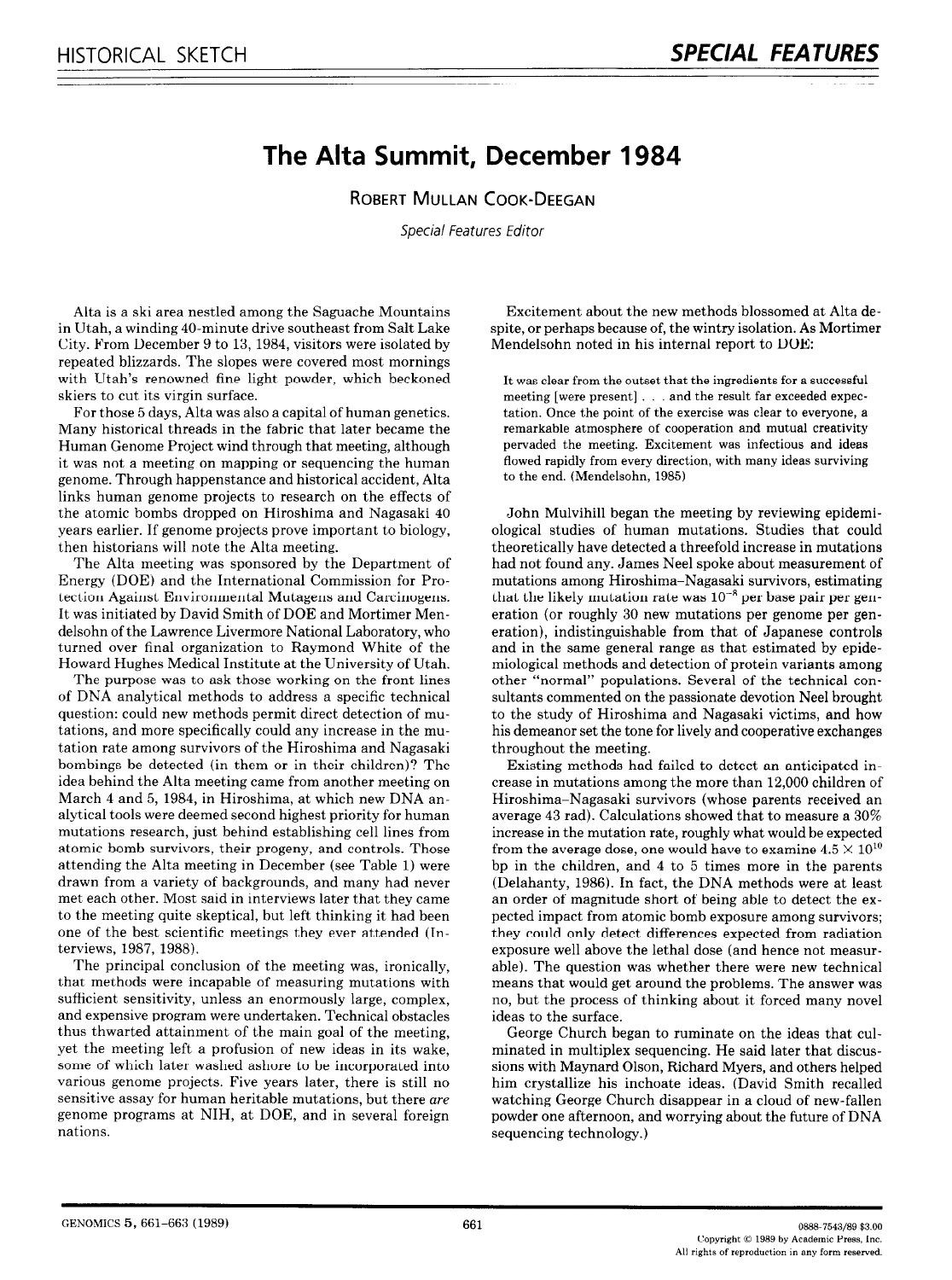# The Alta Summit, December 1984

ROBERT MULLAN COOK-DEEGAN

Special Features Editor

Alta is a ski area nestled among the Saguache Mountains in Utah, a winding 40.minute drive southeast from Salt Lake City. From December 9 to 13, 1984, visitors were isolated by repeated blizzards. The slopes were covered most mornings with Utah's renowned fine light powder, which beckoned skiers to cut its virgin surface.

For those 5 days, Alta was also a capital of human genetics. Many historical threads in the fabric that later became the Human Genome Project wind through that meeting, although it was not a meeting on mapping or sequencing the human genome. Through happenstance and historical accident, Alta links human genome projects to research on the effects of the atomic bombs dropped on Hiroshima and Nagasaki 40 years earlier. If genome projects prove important to biology, then historians will note the Alta meeting.

The Alta meeting was sponsored by the Department of Energy (DOE) and the International Commission for Prothe Grand Against Environmental Mutagens and Care is a care of Care in Against the Care in Against the Care in Against the Care in Against the Care in Against the Care in Against the Care in Against the Care in Against the It was in the David Smith of David Smith of David Smith of David Smith of David Smith of David Smith of David Smith of David Smith of David Smith of David Smith of David Smith of David Smith of David Smith of David Smith o delsohn of the Lawrence Laboratory, who has a laboratory of the Laboratory, who has a laboratory who has a laboratory who has a laboratory who has a laboratory who has a laboratory who has a laboratory who has a laboratory dersonn or the Lawrence Livermore National Laboratory, who turned over final organization to Raymond White of the Howard Hughes Medical Institute at the University of Utah.

The purpose was to ask those working on the front lines of DNA analytical methods to address a specific technical question: could new methods permit direct detection of muquestion, could now methous permit unect detection of mutations, and more specifically could any increase in the filt tation rate among survivors of the Hiroshima and Nagasaki bombings be detected (in them or in their children)? The idea behind the Alta meeting came from another meeting on March 4 and 5, 1984, in Hiroshima, at which new DNA analytical tools were deemed second highest priority for human mutations research, just behind establishing cell lines from atomic bomb survivors, their progeny, and controls. Those attending the Alta meeting in December (see Table 1) were drawn from a variety of backgrounds, and many had never met each other. Most said in interviews later that they came to the meeting quite skeptical, but left thinking it had been one of the best scientific meetings they ever attended (Interviews, 1987, 1988).

The principal conclusion of the meeting was, ironically. that methods were incapable of measuring mutations with sufficient sensitivity, unless an enormously large, complex. and expensive program were undertaken. Technical obstacles thus thwarted attainment of the main goal of the meeting, yet the meeting left a profusion of new ideas in its wake. some of which later washed ashore to be incorporated into various genome projects. Five years later, there is still no sensitive assay for human heritable mutations, but there  $are$ genome programs at NIH, at DOE, and in several foreign nations.

Excitement about the new methods blossomed at Alta despite, or perhaps because of, the wintry isolation. As Mortimer Mendelsohn noted in his internal report to DOE:

It was clear from the outset that the ingredients for a successful meeting [were present]... and the result far exceeded expectation. Once the point of the exercise was clear to everyone, a remarkable atmosphere of cooperation and mutual creativity pervaded the meeting. Excitement was infectious and ideas flowed rapidly from every direction, with many ideas surviving to the end. (Mendelsohn, 1985)

John Mulvihill began the meeting by reviewing epidemiological studies of human mutations. Studies that could theoretically have detected a threefold increase in mutations had not found any. James Neel spoke about measurement of mutations among Hiroshima-Nagasaki survivors, estimating mutation anong moderning raggedan rate was low generally erat the fixery mutation rate was rougher bei base pair per gen eration (or roughly 30 new mutations per genome per generation), indistinguishable from that of Japanese controls and in the same general range as that estimated by epidemiological methods and detection of protein variants among other "normal" populations. Several of the technical consultants commented on the passionate devotion Neel brought to the study of Hiroshima and Nagasaki victims, and how his demeanor set the tone for lively and cooperative exchanges throughout the meeting. roughout the meeting.

Existing methods had failed to detect an anticipated increase in mutations among the more than 12,000 children of Hiroshima-Nagasaki survivors (whose parents received an average 43 rad). Calculations showed that to measure a  $30\%$ increase in the mutation rate, roughly what would be expected from the average dose, one would have to examine  $4.5 \times 10^{10}$ bp in the children, and 4 to 5 times more in the parents (Delahanty, 1986). In fact, the DNA methods were at least an order of magnitude short of being able to detect the expected impact from atomic bomb exposure among survivors; they could only detect differences expected from radiation exposure well above the lethal dose (and hence not measurable). The question was whether there were new technical means that would get around the problems. The answer was no, but the process of thinking about it forced many novel ideas to the surface.

George Church began to ruminate on the ideas that culminated in multiplex sequencing. He said later that discussions with Maynard Olson, Richard Myers, and others helped. him crystallize his inchoate ideas. (David Smith recalled watching George Church disappear in a cloud of new-fallen powder one afternoon, and worrying about the future of DNA sequencing technology.)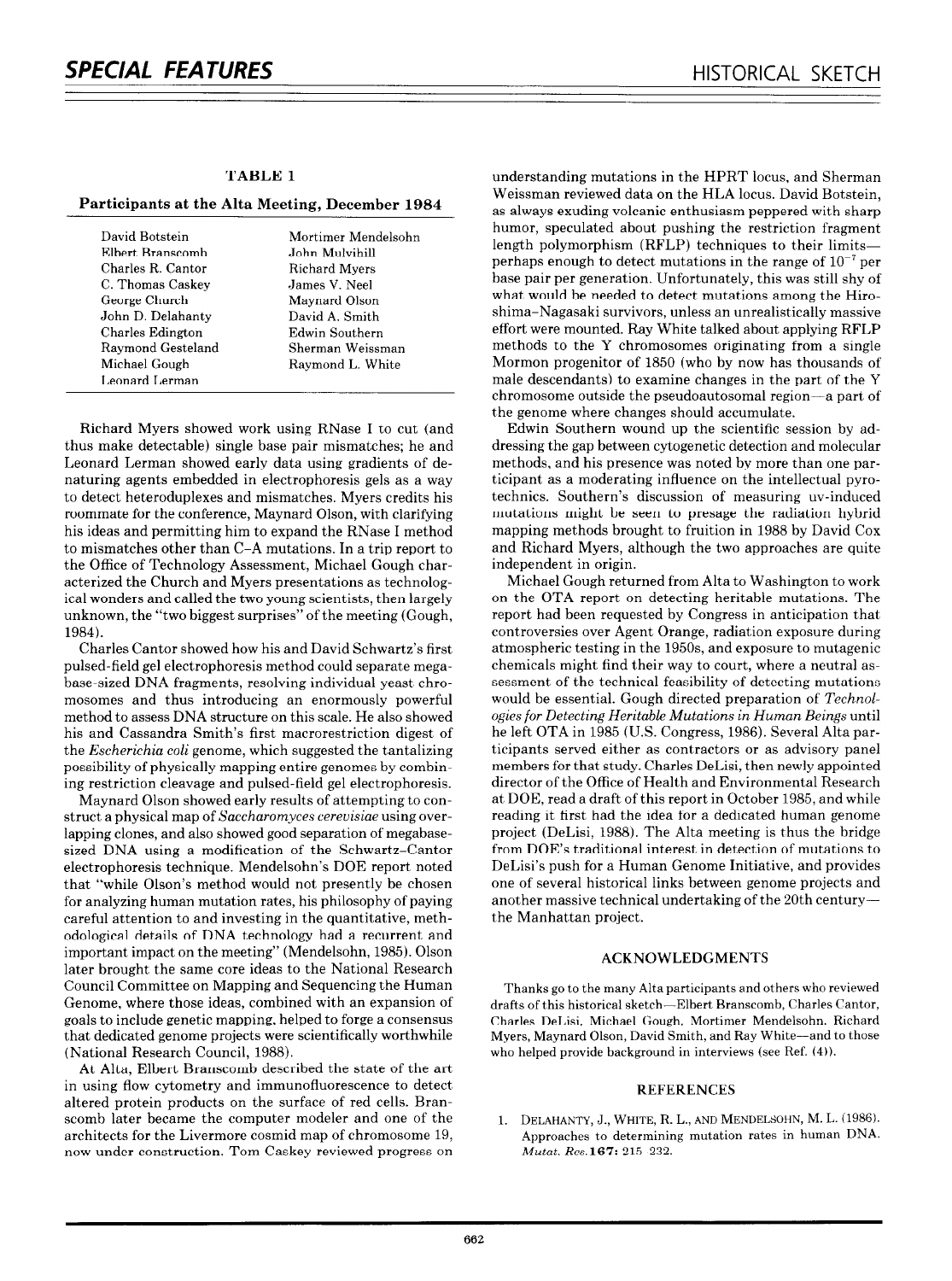## TABLE 1

## Participants at the Alta Meeting, December 1984

| David Botstein          | Mortimer Mendelsohn |
|-------------------------|---------------------|
| Elbert Branscomb        | John Mulvihill      |
| Charles R. Cantor       | Richard Myers       |
| C. Thomas Caskey        | James V. Neel       |
| George Church           | Maynard Olson       |
| John D. Delahanty       | David A. Smith      |
| <b>Charles Edington</b> | Edwin Southern      |
| Raymond Gesteland       | Sherman Weissman    |
| Michael Gough           | Raymond L. White    |
| Leonard Lerman          |                     |

Richard Myers showed work using RNase I to cut (and thus make detectable) single base pair mismatches; he and Leonard Lerman showed early data using gradients of denaturing agents embedded in electrophoresis gels as a way to detect heteroduplexes and mismatches. Myers credits his roommate for the conference, Maynard Olson, with clarifying his ideas and permitting him to expand the RNase I method to mismatches other than C-A mutations. In a trip report to to mismatches other than  $\sigma$ -A mutations. In a trip report t and Office of Technology Assessment, Michael Qough Cho acterized the Church and twyers presentations as technology now wonders and called the two young scientists, then larger unknown, the "two biggest surprises" of the meeting (Gough, 1984). Charles Cantor showed how his and David Schwartz's first

electrophoresis could gel electrophoresis method in the could separate separate method could separate measured pulsed-field gel electrophoresis method could separate megabase-sized DNA fragments, resolving individual yeast chromosomes and thus introducing an enormously powerful method to assess DNA structure on this scale. He also showed his and Cassandra Smith's first macrorestriction digest of the *Escherichia coli* genome, which suggested the tantalizing possibility of physically mapping entire genomes by combining restriction cleavage and pulsed-field gel electrophoresis.

Maynard Olson showed early results of attempting to construct a physical map of Saccharomyces cerevisiae using overlapping clones, and also showed good separation of megabasesized DNA using a modification of the Schwartz-Cantor electrophoresis technique. Mendelsohn's DOE report noted that "while Olson's method would not presently be chosen for analyzing human mutation rates, his philosophy of paying careful attention to and investing in the quantitative, methodological details of DNA technology had a recurrent and important impact on the meeting" (Mendelsohn, 1985). Olson later brought the same core ideas to the National Research Council Committee on Mapping and Sequencing the Human Genome, where those ideas, combined with an expansion of goals to include genetic mapping, helped to forge a consensus that dedicated genome projects were scientifically worthwhile (National Research Council, 1988).

At Alta, Elbert Branscomb described the state of the art in using flow cytometry and immunofluorescence to detect altered protein products on the surface of red cells. Branscomb later became the computer modeler and one of the architects for the Livermore cosmid map of chromosome 19. now under construction. Tom Caskey reviewed progress on understanding mutations in the HPRT locus, and Sherman Weissman reviewed data on the HLA locus. David Botstein, as always exuding volcanic enthusiasm peppered with sharp humor, speculated about pushing the restriction fragment length polymorphism (RFLP) techniques to their limitsperhaps enough to detect mutations in the range of  $10^{-7}$  per base pair per generation. Unfortunately, this was still shy of what would be needed to detect mutations among the Hiroshima-Nagasaki survivors, unless an unrealistically massive effort were mounted. Ray White talked about applying RFLP methods to the Y chromosomes originating from a single Mormon progenitor of 1850 (who by now has thousands of male descendants) to examine changes in the part of the Y chromosome outside the pseudoautosomal region-a part of the genome where changes should accumulate.

Edwin Southern wound up the scientific session by addressing the gap between cytogenetic detection and molecular methods, and his presence was noted by more than one participant as a moderating influence on the intellectual pyrotechnics. Southern's discussion of measuring uv-induced mutations might be seen to presage the radiation hybrid mapping methods brought to fruition in 1988 by David Cox and Richard Myers, although the two approaches are quite independent in origin. Michael Gough returned from Alta to Washington to Washington to Washington to work to work to work to work to w<br>Alta to work to work to work to work to work to work to work to work the work to work to work to work the work

on the OTA report of OTA report on the OTA report of  $\frac{1}{\sqrt{2}}$ on the OTA report on detecting heritable mutations. The report had been requested by Congress in anticipation that report nad been requested by Congress in anticipation that controversies over Agent Orange, radiation exposure durin atmospheric testing in the 1950s, and exposure to mutagenic chemicals might find their way to court, where a neutral assessment of the technical feasibility of detecting mutations would be essential. Gough directed preparation of Technologies for Detecting Heritable Mutations in Human Beings until he left OTA in 1985 (U.S. Congress, 1986). Several Alta participants served either as contractors or as advisory panel members for that study. Charles DeLisi, then newly appointed director of the Office of Health and Environmental Research at DOE, read a draft of this report in October 1985, and while reading it first had the idea for a dedicated human genome project (DeLisi, 1988). The Alta meeting is thus the bridge from DOE's traditional interest in detection of mutations to DeLisi's push for a Human Genome Initiative, and provides one of several historical links between genome projects and another massive technical undertaking of the 20th centurythe Manhattan project.

#### **ACKNOWLEDGMENTS**

Thanks go to the many Alta participants and others who reviewed drafts of this historical sketch-Elbert Branscomb, Charles Cantor, Charles DeLisi, Michael Gough, Mortimer Mendelsohn, Richard Myers, Maynard Olson, David Smith, and Ray White--and to those who helped provide background in interviews (see Ref. (4)).

#### **REFERENCES**

1. DELAHANTY, J., WHITE, R. L., AND MENDELSOHN, M. L. (1986). Approaches to determining mutation rates in human DNA. Mutat. Res. 167: 215-232.